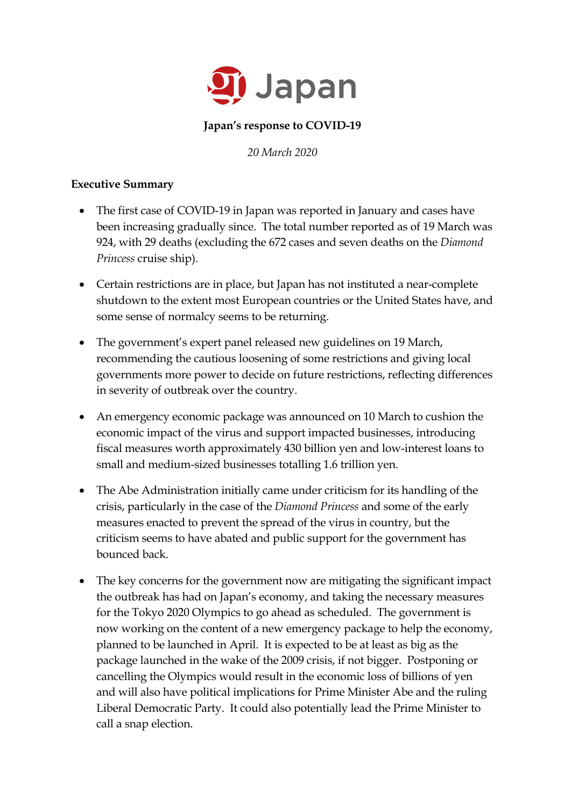

#### **Japan's response to COVID-19**

*20 March 2020*

#### **Executive Summary**

- The first case of COVID-19 in Japan was reported in January and cases have been increasing gradually since. The total number reported as of 19 March was 924, with 29 deaths (excluding the 672 cases and seven deaths on the *Diamond Princess* cruise ship).
- Certain restrictions are in place, but Japan has not instituted a near-complete shutdown to the extent most European countries or the United States have, and some sense of normalcy seems to be returning.
- The government's expert panel released new guidelines on 19 March, recommending the cautious loosening of some restrictions and giving local governments more power to decide on future restrictions, reflecting differences in severity of outbreak over the country.
- An emergency economic package was announced on 10 March to cushion the economic impact of the virus and support impacted businesses, introducing fiscal measures worth approximately 430 billion yen and low-interest loans to small and medium-sized businesses totalling 1.6 trillion yen.
- The Abe Administration initially came under criticism for its handling of the crisis, particularly in the case of the *Diamond Princess* and some of the early measures enacted to prevent the spread of the virus in country, but the criticism seems to have abated and public support for the government has bounced back.
- The key concerns for the government now are mitigating the significant impact the outbreak has had on Japan's economy, and taking the necessary measures for the Tokyo 2020 Olympics to go ahead as scheduled. The government is now working on the content of a new emergency package to help the economy, planned to be launched in April. It is expected to be at least as big as the package launched in the wake of the 2009 crisis, if not bigger. Postponing or cancelling the Olympics would result in the economic loss of billions of yen and will also have political implications for Prime Minister Abe and the ruling Liberal Democratic Party. It could also potentially lead the Prime Minister to call a snap election.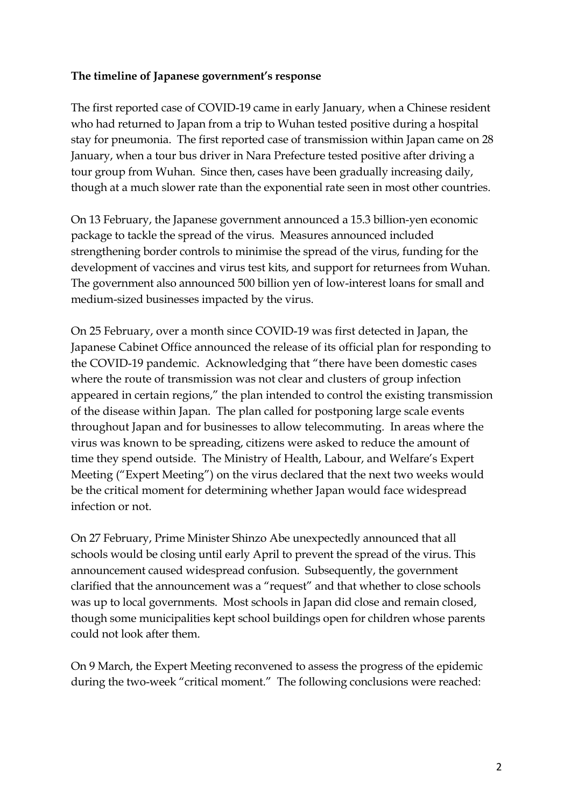### **The timeline of Japanese government's response**

The first reported case of COVID-19 came in early January, when a Chinese resident who had returned to Japan from a trip to Wuhan tested positive during a hospital stay for pneumonia. The first reported case of transmission within Japan came on 28 January, when a tour bus driver in Nara Prefecture tested positive after driving a tour group from Wuhan. Since then, cases have been gradually increasing daily, though at a much slower rate than the exponential rate seen in most other countries.

On 13 February, the Japanese government announced a 15.3 billion-yen economic package to tackle the spread of the virus. Measures announced included strengthening border controls to minimise the spread of the virus, funding for the development of vaccines and virus test kits, and support for returnees from Wuhan. The government also announced 500 billion yen of low-interest loans for small and medium-sized businesses impacted by the virus.

On 25 February, over a month since COVID-19 was first detected in Japan, the Japanese Cabinet Office announced the release of its official plan for responding to the COVID-19 pandemic. Acknowledging that "there have been domestic cases where the route of transmission was not clear and clusters of group infection appeared in certain regions," the plan intended to control the existing transmission of the disease within Japan. The plan called for postponing large scale events throughout Japan and for businesses to allow telecommuting. In areas where the virus was known to be spreading, citizens were asked to reduce the amount of time they spend outside. The Ministry of Health, Labour, and Welfare's Expert Meeting ("Expert Meeting") on the virus declared that the next two weeks would be the critical moment for determining whether Japan would face widespread infection or not.

On 27 February, Prime Minister Shinzo Abe unexpectedly announced that all schools would be closing until early April to prevent the spread of the virus. This announcement caused widespread confusion. Subsequently, the government clarified that the announcement was a "request" and that whether to close schools was up to local governments. Most schools in Japan did close and remain closed, though some municipalities kept school buildings open for children whose parents could not look after them.

On 9 March, the Expert Meeting reconvened to assess the progress of the epidemic during the two-week "critical moment." The following conclusions were reached: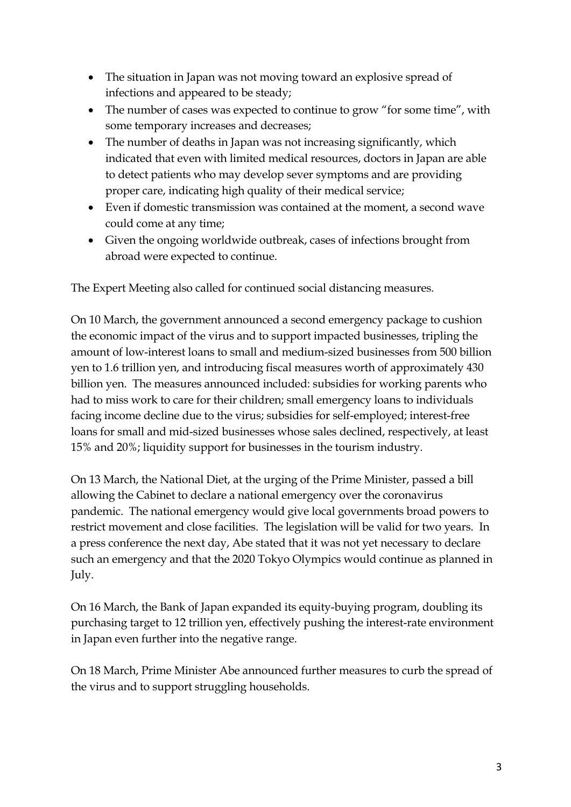- The situation in Japan was not moving toward an explosive spread of infections and appeared to be steady;
- The number of cases was expected to continue to grow "for some time", with some temporary increases and decreases;
- The number of deaths in Japan was not increasing significantly, which indicated that even with limited medical resources, doctors in Japan are able to detect patients who may develop sever symptoms and are providing proper care, indicating high quality of their medical service;
- Even if domestic transmission was contained at the moment, a second wave could come at any time;
- Given the ongoing worldwide outbreak, cases of infections brought from abroad were expected to continue.

The Expert Meeting also called for continued social distancing measures.

On 10 March, the government announced a second emergency package to cushion the economic impact of the virus and to support impacted businesses, tripling the amount of low-interest loans to small and medium-sized businesses from 500 billion yen to 1.6 trillion yen, and introducing fiscal measures worth of approximately 430 billion yen. The measures announced included: subsidies for working parents who had to miss work to care for their children; small emergency loans to individuals facing income decline due to the virus; subsidies for self-employed; interest-free loans for small and mid-sized businesses whose sales declined, respectively, at least 15% and 20%; liquidity support for businesses in the tourism industry.

On 13 March, the National Diet, at the urging of the Prime Minister, passed a bill allowing the Cabinet to declare a national emergency over the coronavirus pandemic. The national emergency would give local governments broad powers to restrict movement and close facilities. The legislation will be valid for two years. In a press conference the next day, Abe stated that it was not yet necessary to declare such an emergency and that the 2020 Tokyo Olympics would continue as planned in July.

On 16 March, the Bank of Japan expanded its equity-buying program, doubling its purchasing target to 12 trillion yen, effectively pushing the interest-rate environment in Japan even further into the negative range.

On 18 March, Prime Minister Abe announced further measures to curb the spread of the virus and to support struggling households.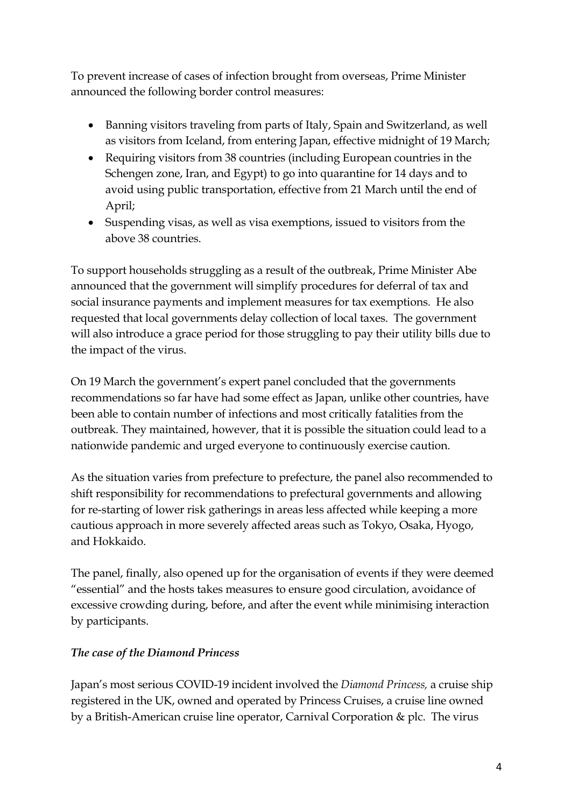To prevent increase of cases of infection brought from overseas, Prime Minister announced the following border control measures:

- Banning visitors traveling from parts of Italy, Spain and Switzerland, as well as visitors from Iceland, from entering Japan, effective midnight of 19 March;
- Requiring visitors from 38 countries (including European countries in the Schengen zone, Iran, and Egypt) to go into quarantine for 14 days and to avoid using public transportation, effective from 21 March until the end of April;
- Suspending visas, as well as visa exemptions, issued to visitors from the above 38 countries.

To support households struggling as a result of the outbreak, Prime Minister Abe announced that the government will simplify procedures for deferral of tax and social insurance payments and implement measures for tax exemptions. He also requested that local governments delay collection of local taxes. The government will also introduce a grace period for those struggling to pay their utility bills due to the impact of the virus.

On 19 March the government's expert panel concluded that the governments recommendations so far have had some effect as Japan, unlike other countries, have been able to contain number of infections and most critically fatalities from the outbreak. They maintained, however, that it is possible the situation could lead to a nationwide pandemic and urged everyone to continuously exercise caution.

As the situation varies from prefecture to prefecture, the panel also recommended to shift responsibility for recommendations to prefectural governments and allowing for re-starting of lower risk gatherings in areas less affected while keeping a more cautious approach in more severely affected areas such as Tokyo, Osaka, Hyogo, and Hokkaido.

The panel, finally, also opened up for the organisation of events if they were deemed "essential" and the hosts takes measures to ensure good circulation, avoidance of excessive crowding during, before, and after the event while minimising interaction by participants.

## *The case of the Diamond Princess*

Japan's most serious COVID-19 incident involved the *Diamond Princess,* a cruise ship registered in the UK, owned and operated by Princess Cruises, a cruise line owned by a British-American cruise line operator, Carnival Corporation & plc. The virus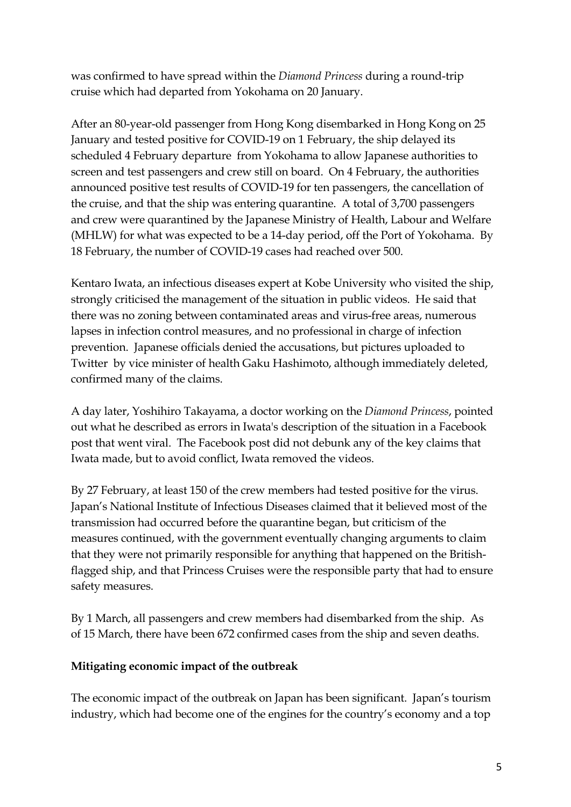was confirmed to have spread within the *Diamond Princess* during a round-trip cruise which had departed from Yokohama on 20 January.

After an 80-year-old passenger from Hong Kong disembarked in Hong Kong on 25 January and tested positive for COVID-19 on 1 February, the ship delayed its scheduled 4 February departure from Yokohama to allow Japanese authorities to screen and test passengers and crew still on board. On 4 February, the authorities announced positive test results of COVID-19 for ten passengers, the cancellation of the cruise, and that the ship was entering quarantine. A total of 3,700 passengers and crew were quarantined by the Japanese Ministry of Health, Labour and Welfare (MHLW) for what was expected to be a 14-day period, off the Port of Yokohama. By 18 February, the number of COVID-19 cases had reached over 500.

Kentaro Iwata, an infectious diseases expert at Kobe University who visited the ship, strongly criticised the management of the situation in public videos. He said that there was no zoning between contaminated areas and virus-free areas, numerous lapses in infection control measures, and no professional in charge of infection prevention. Japanese officials denied the accusations, but pictures uploaded to Twitter by vice minister of health Gaku Hashimoto, although immediately deleted, confirmed many of the claims.

A day later, Yoshihiro Takayama, a doctor working on the *Diamond Princess*, pointed out what he described as errors in Iwata's description of the situation in a Facebook post that went viral. The Facebook post did not debunk any of the key claims that Iwata made, but to avoid conflict, Iwata removed the videos.

By 27 February, at least 150 of the crew members had tested positive for the virus. Japan's National Institute of Infectious Diseases claimed that it believed most of the transmission had occurred before the quarantine began, but criticism of the measures continued, with the government eventually changing arguments to claim that they were not primarily responsible for anything that happened on the Britishflagged ship, and that Princess Cruises were the responsible party that had to ensure safety measures.

By 1 March, all passengers and crew members had disembarked from the ship. As of 15 March, there have been 672 confirmed cases from the ship and seven deaths.

### **Mitigating economic impact of the outbreak**

The economic impact of the outbreak on Japan has been significant. Japan's tourism industry, which had become one of the engines for the country's economy and a top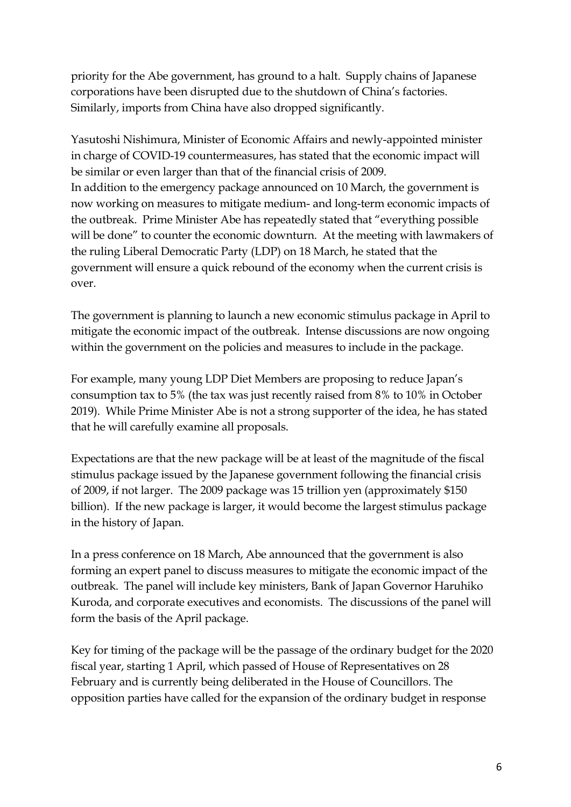priority for the Abe government, has ground to a halt. Supply chains of Japanese corporations have been disrupted due to the shutdown of China's factories. Similarly, imports from China have also dropped significantly.

Yasutoshi Nishimura, Minister of Economic Affairs and newly-appointed minister in charge of COVID-19 countermeasures, has stated that the economic impact will be similar or even larger than that of the financial crisis of 2009. In addition to the emergency package announced on 10 March, the government is now working on measures to mitigate medium- and long-term economic impacts of the outbreak. Prime Minister Abe has repeatedly stated that "everything possible will be done" to counter the economic downturn. At the meeting with lawmakers of the ruling Liberal Democratic Party (LDP) on 18 March, he stated that the government will ensure a quick rebound of the economy when the current crisis is over.

The government is planning to launch a new economic stimulus package in April to mitigate the economic impact of the outbreak. Intense discussions are now ongoing within the government on the policies and measures to include in the package.

For example, many young LDP Diet Members are proposing to reduce Japan's consumption tax to 5% (the tax was just recently raised from 8% to 10% in October 2019). While Prime Minister Abe is not a strong supporter of the idea, he has stated that he will carefully examine all proposals.

Expectations are that the new package will be at least of the magnitude of the fiscal stimulus package issued by the Japanese government following the financial crisis of 2009, if not larger. The 2009 package was 15 trillion yen (approximately \$150 billion). If the new package is larger, it would become the largest stimulus package in the history of Japan.

In a press conference on 18 March, Abe announced that the government is also forming an expert panel to discuss measures to mitigate the economic impact of the outbreak. The panel will include key ministers, Bank of Japan Governor Haruhiko Kuroda, and corporate executives and economists. The discussions of the panel will form the basis of the April package.

Key for timing of the package will be the passage of the ordinary budget for the 2020 fiscal year, starting 1 April, which passed of House of Representatives on 28 February and is currently being deliberated in the House of Councillors. The opposition parties have called for the expansion of the ordinary budget in response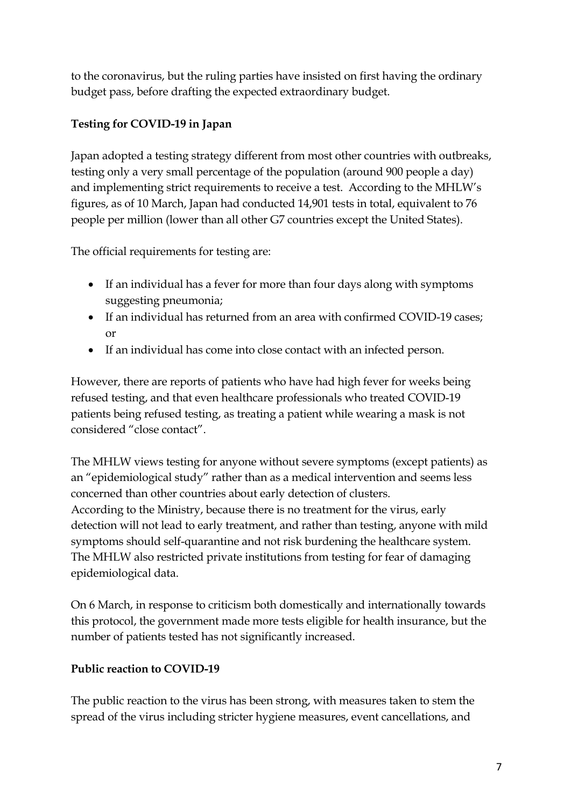to the coronavirus, but the ruling parties have insisted on first having the ordinary budget pass, before drafting the expected extraordinary budget.

# **Testing for COVID-19 in Japan**

Japan adopted a testing strategy different from most other countries with outbreaks, testing only a very small percentage of the population (around 900 people a day) and implementing strict requirements to receive a test. According to the MHLW's figures, as of 10 March, Japan had conducted 14,901 tests in total, equivalent to 76 people per million (lower than all other G7 countries except the United States).

The official requirements for testing are:

- If an individual has a fever for more than four days along with symptoms suggesting pneumonia;
- If an individual has returned from an area with confirmed COVID-19 cases; or
- If an individual has come into close contact with an infected person.

However, there are reports of patients who have had high fever for weeks being refused testing, and that even healthcare professionals who treated COVID-19 patients being refused testing, as treating a patient while wearing a mask is not considered "close contact".

The MHLW views testing for anyone without severe symptoms (except patients) as an "epidemiological study" rather than as a medical intervention and seems less concerned than other countries about early detection of clusters. According to the Ministry, because there is no treatment for the virus, early detection will not lead to early treatment, and rather than testing, anyone with mild symptoms should self-quarantine and not risk burdening the healthcare system. The MHLW also restricted private institutions from testing for fear of damaging epidemiological data.

On 6 March, in response to criticism both domestically and internationally towards this protocol, the government made more tests eligible for health insurance, but the number of patients tested has not significantly increased.

## **Public reaction to COVID-19**

The public reaction to the virus has been strong, with measures taken to stem the spread of the virus including stricter hygiene measures, event cancellations, and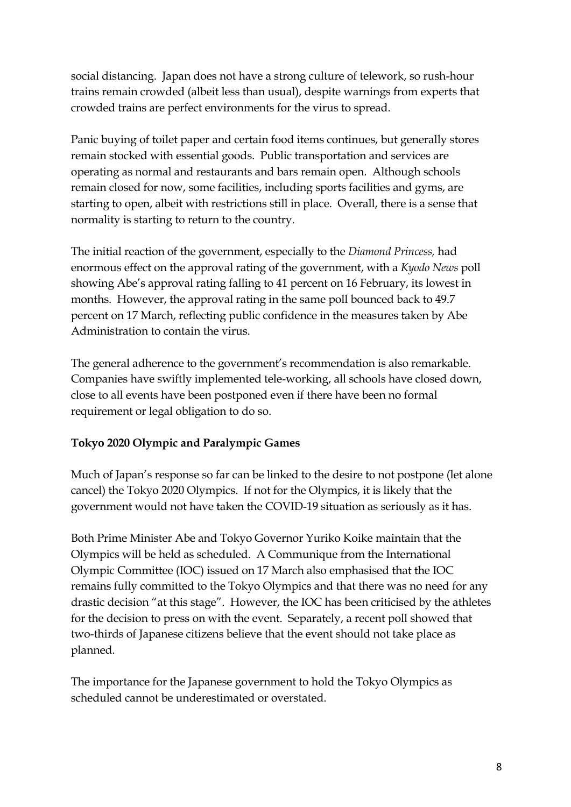social distancing. Japan does not have a strong culture of telework, so rush-hour trains remain crowded (albeit less than usual), despite warnings from experts that crowded trains are perfect environments for the virus to spread.

Panic buying of toilet paper and certain food items continues, but generally stores remain stocked with essential goods. Public transportation and services are operating as normal and restaurants and bars remain open. Although schools remain closed for now, some facilities, including sports facilities and gyms, are starting to open, albeit with restrictions still in place. Overall, there is a sense that normality is starting to return to the country.

The initial reaction of the government, especially to the *Diamond Princess,* had enormous effect on the approval rating of the government, with a *Kyodo News* poll showing Abe's approval rating falling to 41 percent on 16 February, its lowest in months. However, the approval rating in the same poll bounced back to 49.7 percent on 17 March, reflecting public confidence in the measures taken by Abe Administration to contain the virus.

The general adherence to the government's recommendation is also remarkable. Companies have swiftly implemented tele-working, all schools have closed down, close to all events have been postponed even if there have been no formal requirement or legal obligation to do so.

## **Tokyo 2020 Olympic and Paralympic Games**

Much of Japan's response so far can be linked to the desire to not postpone (let alone cancel) the Tokyo 2020 Olympics. If not for the Olympics, it is likely that the government would not have taken the COVID-19 situation as seriously as it has.

Both Prime Minister Abe and Tokyo Governor Yuriko Koike maintain that the Olympics will be held as scheduled. A Communique from the International Olympic Committee (IOC) issued on 17 March also emphasised that the IOC remains fully committed to the Tokyo Olympics and that there was no need for any drastic decision "at this stage". However, the IOC has been criticised by the athletes for the decision to press on with the event. Separately, a recent poll showed that two-thirds of Japanese citizens believe that the event should not take place as planned.

The importance for the Japanese government to hold the Tokyo Olympics as scheduled cannot be underestimated or overstated.